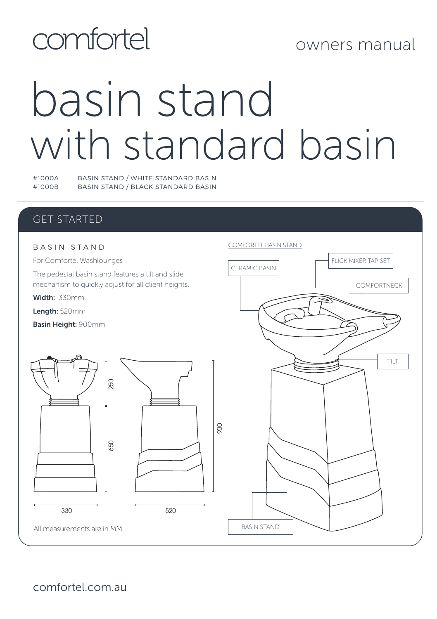# comfortel

# basin stand with standard basin

#1000A BASIN STAND / WHITE STANDARD BASIN BASIN STAND / BLACK STANDARD BASIN

### GET STARTED

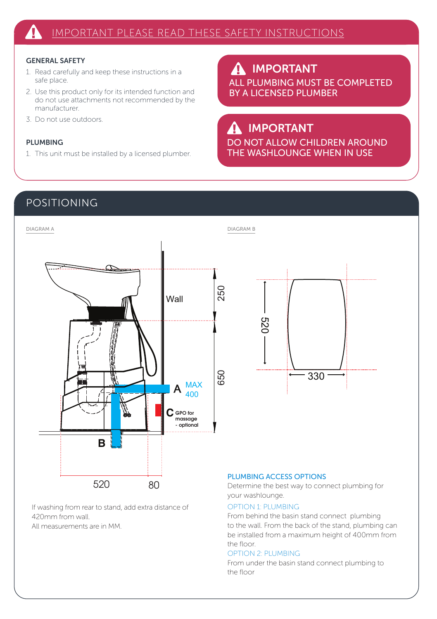#### GENERAL SAFETY

- 1. Read carefully and keep these instructions in a safe place.
- 2. Use this product only for its intended function and do not use attachments not recommended by the manufacturer.
- 3. Do not use outdoors.

#### PLUMBING

1. This unit must be installed by a licensed plumber.

IMPORTANT  $\boldsymbol{\Lambda}$ ALL PLUMBING MUST BE COMPLETED BY A LICENSED PLUMBER

## IMPORTANT

DO NOT ALLOW CHILDREN AROUND THE WASHLOUNGE WHEN IN USE

#### POSITIONING





#### If washing from rear to stand, add extra distance of 420mm from wall.

All measurements are in MM.

#### PLUMBING ACCESS OPTIONS

Determine the best way to connect plumbing for your washlounge.

#### OPTION 1: PLUMBING

From behind the basin stand connect plumbing to the wall. From the back of the stand, plumbing can be installed from a maximum height of 400mm from the floor.

#### OPTION 2: PLUMBING

From under the basin stand connect plumbing to the floor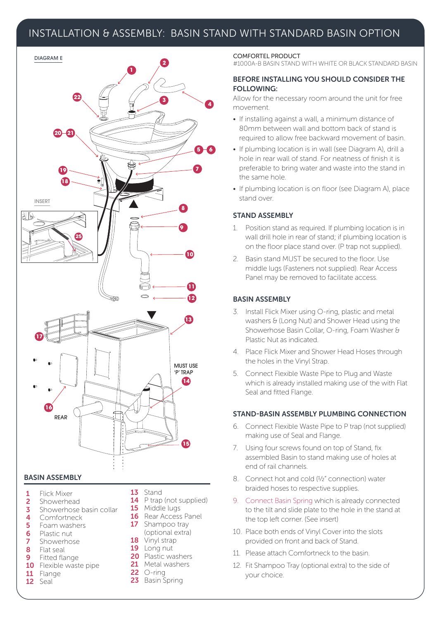#### INSTALLATION & ASSEMBLY: BASIN STAND WITH STANDARD BASIN OPTION



#### BASIN ASSEMBLY

- 1 Flick Mixer<br>2 Showerhe
- 2 Showerhead<br>3 Showerhose
- **3** Showerhose basin collar
- 4 Comfortneck<br>5 Foam washer
- 5 Foam washers<br>6 Plastic nut
- **6** Plastic nut<br>**7** Showerhos 7 Showerhose
- 8 Flat seal
- Fitted flange
- 10 Flexible waste pipe
- 11 Flange
- 12 Seal
- 13 Stand
- 14 P trap (not supplied)
- 15 Middle lugs
- 16 Rear Access Panel 17 Shampoo tray (optional extra)
- 18 Vinyl strap
- 19 Long nut
- 20 Plastic washers
- 21 Metal washers
- **22** ○-ring
- 23 Basin Spring

#### COMFORTEL PRODUCT

#1000A-B BASIN STAND WITH WHITE OR BLACK STANDARD BASIN

#### BEFORE INSTALLING YOU SHOULD CONSIDER THE FOLLOWING:

Allow for the necessary room around the unit for free movement.

- If installing against a wall, a minimum distance of 80mm between wall and bottom back of stand is required to allow free backward movement of basin.
- If plumbing location is in wall (see Diagram A), drill a hole in rear wall of stand. For neatness of finish it is preferable to bring water and waste into the stand in the same hole.
- If plumbing location is on floor (see Diagram A), place stand over.

#### STAND ASSEMBLY

- 1. Position stand as required. If plumbing location is in wall drill hole in rear of stand; if plumbing location is on the floor place stand over. (P trap not supplied).
- 2. Basin stand MUST be secured to the floor. Use middle lugs (Fasteners not supplied). Rear Access Panel may be removed to facilitate access.

#### BASIN ASSEMBLY

- 3. Install Flick Mixer using O-ring, plastic and metal washers & (Long Nut) and Shower Head using the Showerhose Basin Collar, O-ring, Foam Washer & Plastic Nut as indicated.
- 4. Place Flick Mixer and Shower Head Hoses through the holes in the Vinyl Strap.
- 5. Connect Flexible Waste Pipe to Plug and Waste which is already installed making use of the with Flat Seal and fitted Flange.

#### STAND-BASIN ASSEMBLY PLUMBING CONNECTION

- 6. Connect Flexible Waste Pipe to P trap (not supplied) making use of Seal and Flange.
- 7. Using four screws found on top of Stand, fix assembled Basin to stand making use of holes at end of rail channels.
- 8. Connect hot and cold (½" connection) water braided hoses to respective supplies.
- 9. Connect Basin Spring which is already connected to the tilt and slide plate to the hole in the stand at the top left corner. (See insert)
- 10. Place both ends of Vinyl Cover into the slots provided on front and back of Stand.
- 11. Please attach Comfortneck to the basin.
- 12. Fit Shampoo Tray (optional extra) to the side of your choice.